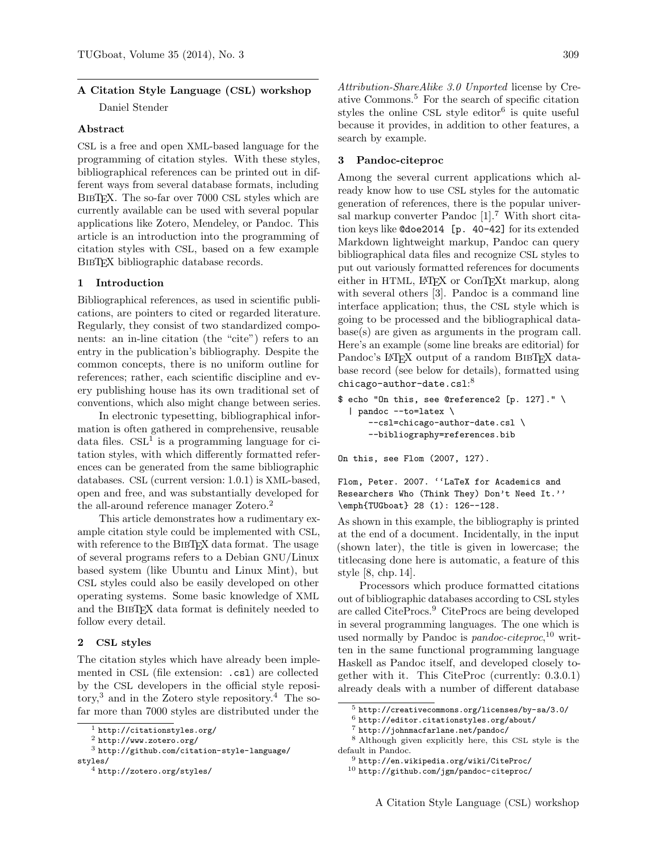# A Citation Style Language (CSL) workshop

Daniel Stender

#### Abstract

CSL is a free and open XML-based language for the programming of citation styles. With these styles, bibliographical references can be printed out in different ways from several database formats, including BIBT<sub>EX</sub>. The so-far over 7000 CSL styles which are currently available can be used with several popular applications like Zotero, Mendeley, or Pandoc. This article is an introduction into the programming of citation styles with CSL, based on a few example BIBT<sub>EX</sub> bibliographic database records.

## 1 Introduction

Bibliographical references, as used in scientific publications, are pointers to cited or regarded literature. Regularly, they consist of two standardized components: an in-line citation (the "cite") refers to an entry in the publication's bibliography. Despite the common concepts, there is no uniform outline for references; rather, each scientific discipline and every publishing house has its own traditional set of conventions, which also might change between series.

In electronic typesetting, bibliographical information is often gathered in comprehensive, reusable data files. CSL<sup>[1](#page-0-0)</sup> is a programming language for citation styles, with which differently formatted references can be generated from the same bibliographic databases. CSL (current version: 1.0.1) is XML-based, open and free, and was substantially developed for the all-around reference manager Zotero.<sup>[2](#page-0-1)</sup>

This article demonstrates how a rudimentary example citation style could be implemented with CSL, with reference to the BIBTEX data format. The usage of several programs refers to a Debian GNU/Linux based system (like Ubuntu and Linux Mint), but CSL styles could also be easily developed on other operating systems. Some basic knowledge of XML and the BibTEX data format is definitely needed to follow every detail.

#### 2 CSL styles

The citation styles which have already been implemented in CSL (file extension: .csl) are collected by the CSL developers in the official style reposi- $\text{tory},^3$  $\text{tory},^3$  and in the Zotero style repository.<sup>[4](#page-0-3)</sup> The sofar more than 7000 styles are distributed under the Attribution-ShareAlike 3.0 Unported license by Creative Commons.[5](#page-0-4) For the search of specific citation styles the online CSL style editor<sup>[6](#page-0-5)</sup> is quite useful because it provides, in addition to other features, a search by example.

#### 3 Pandoc-citeproc

Among the several current applications which already know how to use CSL styles for the automatic generation of references, there is the popular universal markup converter Pandoc  $[1]$ .<sup>[7](#page-0-6)</sup> With short citation keys like @doe2014 [p. 40-42] for its extended Markdown lightweight markup, Pandoc can query bibliographical data files and recognize CSL styles to put out variously formatted references for documents either in HTML, L<sup>AT</sup>FX or ConTFXt markup, along with several others [\[3\]](#page-5-1). Pandoc is a command line interface application; thus, the CSL style which is going to be processed and the bibliographical database(s) are given as arguments in the program call. Here's an example (some line breaks are editorial) for Pandoc's LAT<sub>EX</sub> output of a random BIBT<sub>EX</sub> database record (see below for details), formatted using  $chicago-author-date.cs1:<sup>8</sup>$  $chicago-author-date.cs1:<sup>8</sup>$  $chicago-author-date.cs1:<sup>8</sup>$ 

```
$ echo "On this, see @reference2 [p. 127]." \
  | pandoc --to=latex \
     --csl=chicago-author-date.csl \
      --bibliography=references.bib
```
On this, see Flom (2007, 127).

```
Flom, Peter. 2007. ''LaTeX for Academics and
Researchers Who (Think They) Don't Need It.''
\emph{TUGboat} 28 (1): 126--128.
```
As shown in this example, the bibliography is printed at the end of a document. Incidentally, in the input (shown later), the title is given in lowercase; the titlecasing done here is automatic, a feature of this style [\[8,](#page-5-2) chp. 14].

Processors which produce formatted citations out of bibliographic databases according to CSL styles are called CiteProcs.[9](#page-0-8) CiteProcs are being developed in several programming languages. The one which is used normally by Pandoc is *pandoc-citeproc*,<sup>[10](#page-0-9)</sup> written in the same functional programming language Haskell as Pandoc itself, and developed closely together with it. This CiteProc (currently: 0.3.0.1) already deals with a number of different database

<span id="page-0-0"></span> $1$  <http://citationstyles.org/>

<span id="page-0-2"></span><span id="page-0-1"></span><sup>2</sup> <http://www.zotero.org/>

<sup>3</sup> [http://github.com/citation-style-language/](http://github.com/citation-style-language/styles/) [styles/](http://github.com/citation-style-language/styles/)

<span id="page-0-3"></span><sup>4</sup> <http://zotero.org/styles/>

<span id="page-0-4"></span> $^5$ <http://creativecommons.org/licenses/by-sa/3.0/>

<span id="page-0-5"></span> $^6$  <http://editor.citationstyles.org/about/><br>  $^7$  http://ichnracforlane.net/pandec/

<span id="page-0-7"></span><span id="page-0-6"></span><sup>7</sup> <http://johnmacfarlane.net/pandoc/>

<sup>8</sup> Although given explicitly here, this CSL style is the default in Pandoc.

<span id="page-0-9"></span><span id="page-0-8"></span><sup>9</sup> <http://en.wikipedia.org/wiki/CiteProc/>

 $^{10}$ <http://github.com/jgm/pandoc-citeproc/>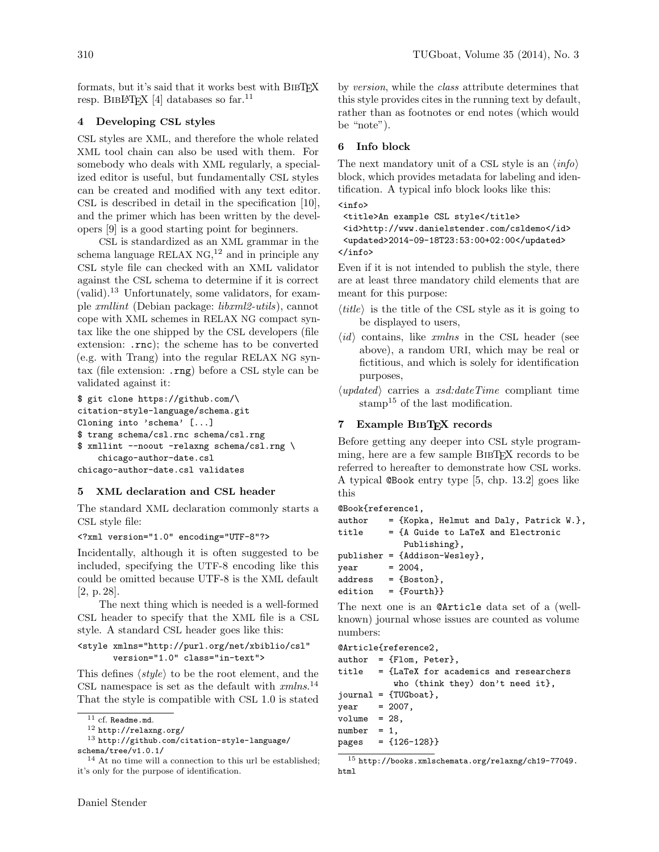formats, but it's said that it works best with BIBTFX resp. BIBLATEX [\[4\]](#page-5-3) databases so far.<sup>[11](#page-1-0)</sup>

## 4 Developing CSL styles

CSL styles are XML, and therefore the whole related XML tool chain can also be used with them. For somebody who deals with XML regularly, a specialized editor is useful, but fundamentally CSL styles can be created and modified with any text editor. CSL is described in detail in the specification [\[10\]](#page-5-4), and the primer which has been written by the developers [\[9\]](#page-5-5) is a good starting point for beginners.

CSL is standardized as an XML grammar in the schema language RELAX  $NG<sub>1</sub><sup>12</sup>$  $NG<sub>1</sub><sup>12</sup>$  $NG<sub>1</sub><sup>12</sup>$  and in principle any CSL style file can checked with an XML validator against the CSL schema to determine if it is correct (valid).[13](#page-1-2) Unfortunately, some validators, for example xmllint (Debian package: libxml2-utils), cannot cope with XML schemes in RELAX NG compact syntax like the one shipped by the CSL developers (file extension: .rnc); the scheme has to be converted (e.g. with Trang) into the regular RELAX NG syntax (file extension: .rng) before a CSL style can be validated against it:

```
$ git clone https://github.com/\
citation-style-language/schema.git
Cloning into 'schema' [...]
$ trang schema/csl.rnc schema/csl.rng
$ xmllint --noout -relaxng schema/csl.rng \
    chicago-author-date.csl
chicago-author-date.csl validates
```
## 5 XML declaration and CSL header

The standard XML declaration commonly starts a CSL style file:

<?xml version="1.0" encoding="UTF-8"?>

Incidentally, although it is often suggested to be included, specifying the UTF-8 encoding like this could be omitted because UTF-8 is the XML default [\[2,](#page-5-6) p. 28].

The next thing which is needed is a well-formed CSL header to specify that the XML file is a CSL style. A standard CSL header goes like this:

<style xmlns="http://purl.org/net/xbiblio/csl" version="1.0" class="in-text">

This defines  $\langle style\rangle$  to be the root element, and the CSL namespace is set as the default with  $cmln s$ .<sup>[14](#page-1-3)</sup> That the style is compatible with CSL 1.0 is stated

```
13 http://github.com/citation-style-language/
schema/tree/v1.0.1/
```

```
<sup>14</sup> At no time will a connection to this url be established;
it's only for the purpose of identification.
```
by version, while the class attribute determines that this style provides cites in the running text by default, rather than as footnotes or end notes (which would be "note").

## 6 Info block

The next mandatory unit of a CSL style is an  $\langle info \rangle$ block, which provides metadata for labeling and identification. A typical info block looks like this:

```
<info>
```

```
<title>An example CSL style</title>
<id>http://www.danielstender.com/csldemo</id>
<updated>2014-09-18T23:53:00+02:00</updated>
</info>
```
Even if it is not intended to publish the style, there are at least three mandatory child elements that are meant for this purpose:

- $\langle title \rangle$  is the title of the CSL style as it is going to be displayed to users,
- $\langle id \rangle$  contains, like *xmlns* in the CSL header (see above), a random URI, which may be real or fictitious, and which is solely for identification purposes,
- $\langle updated \rangle$  carries a *xsd:dateTime* compliant time stamp<sup>[15](#page-1-4)</sup> of the last modification.

## 7 Example BIBTEX records

Before getting any deeper into CSL style programming, here are a few sample BibTEX records to be referred to hereafter to demonstrate how CSL works. A typical @Book entry type [\[5,](#page-5-7) chp. 13.2] goes like this

```
@Book{reference1,
```

```
author = {Kopka, Helmut and Daly, Patrick W.},
title = {A Guide to LaTeX and Electronic
           Publishing},
publisher = {Addison-Wesley},
year = 2004,address = {Boston},
edition = {Fourth}
```
The next one is an @Article data set of a (wellknown) journal whose issues are counted as volume numbers:

@Article{reference2,

|                                                         |  | $author = {Flom, Peter},$                       |
|---------------------------------------------------------|--|-------------------------------------------------|
|                                                         |  | $title = \{LaTeX for academics and researchers$ |
|                                                         |  | who (think they) don't need it},                |
|                                                         |  | $journal = \{TUGboat\},\$                       |
| $year = 2007,$                                          |  |                                                 |
| $volume = 28$ ,                                         |  |                                                 |
| $number = 1$ ,                                          |  |                                                 |
|                                                         |  | pages = ${126-128}$                             |
| $^{15}$ http://books.xmlschomata.org/rolaxng/ch10-77040 |  |                                                 |

<span id="page-1-4"></span><sup>15</sup> [http://books.xmlschemata.org/relaxng/ch19-77049.](http://books.xmlschemata.org/relaxng/ch19-77049.html) [html](http://books.xmlschemata.org/relaxng/ch19-77049.html)

<span id="page-1-0"></span> $11$  cf. Readme.md.

<span id="page-1-2"></span><span id="page-1-1"></span><sup>12</sup> <http://relaxng.org/>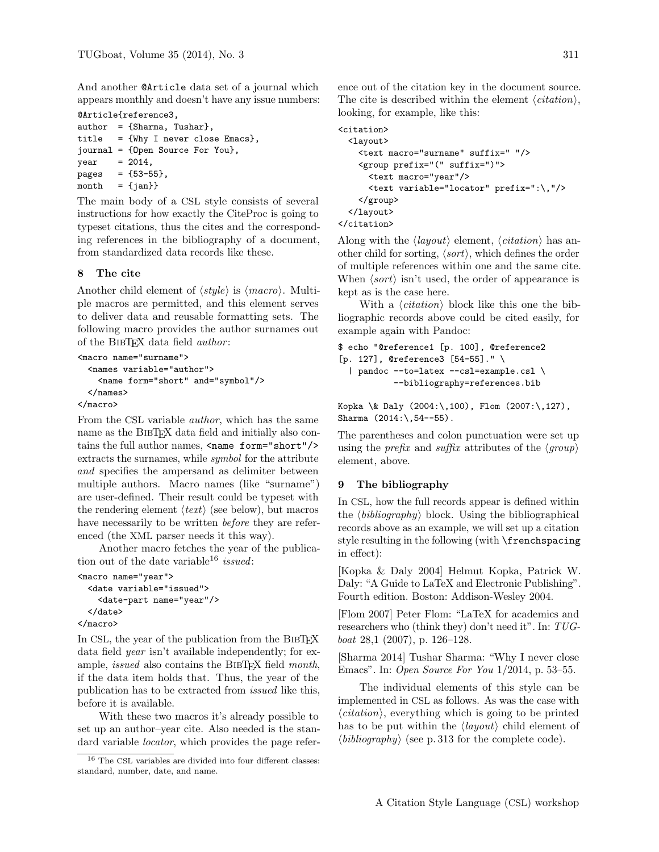And another @Article data set of a journal which appears monthly and doesn't have any issue numbers:

```
@Article{reference3,
author = {Sharma, Tushar},
title = {Why I never close Emacs},
journal = {Open Source For You},
year = 2014,pages = {53-55},month = \{jan\}
```
The main body of a CSL style consists of several instructions for how exactly the CiteProc is going to typeset citations, thus the cites and the corresponding references in the bibliography of a document, from standardized data records like these.

## 8 The cite

Another child element of  $\langle style\rangle$  is  $\langle macro\rangle$ . Multiple macros are permitted, and this element serves to deliver data and reusable formatting sets. The following macro provides the author surnames out of the BIBTFX data field *author*:

```
<macro name="surname">
  <names variable="author">
    <name form="short" and="symbol"/>
  </names>
</macro>
```
From the CSL variable author, which has the same name as the BIBTEX data field and initially also contains the full author names, <name form="short"/> extracts the surnames, while symbol for the attribute and specifies the ampersand as delimiter between multiple authors. Macro names (like "surname") are user-defined. Their result could be typeset with the rendering element  $\langle text \rangle$  (see below), but macros have necessarily to be written *before* they are referenced (the XML parser needs it this way).

Another macro fetches the year of the publica-tion out of the date variable<sup>[16](#page-2-0)</sup> issued:

```
<macro name="year">
  <date variable="issued">
    <date-part name="year"/>
  </date>
```
</macro>

In CSL, the year of the publication from the BIBTEX data field *year* isn't available independently; for example, *issued* also contains the BIBTFX field month, if the data item holds that. Thus, the year of the publication has to be extracted from issued like this, before it is available.

With these two macros it's already possible to set up an author–year cite. Also needed is the standard variable *locator*, which provides the page reference out of the citation key in the document source. The cite is described within the element  $\langle citation \rangle$ , looking, for example, like this:

```
<citation>
  <layout>
   <text macro="surname" suffix=" "/>
    <group prefix="(" suffix=")">
      <text macro="year"/>
      <text variable="locator" prefix=":\,"/>
   </group>
 </layout>
</citation>
```
Along with the  $\langle layout \rangle$  element,  $\langle citation \rangle$  has another child for sorting,  $\langle sort \rangle$ , which defines the order of multiple references within one and the same cite. When  $\langle sort \rangle$  isn't used, the order of appearance is kept as is the case here.

With a  $\langle citation \rangle$  block like this one the bibliographic records above could be cited easily, for example again with Pandoc:

```
$ echo "@reference1 [p. 100], @reference2
[p. 127], @reference3 [54-55]." \
  | pandoc --to=latex --csl=example.csl \
           --bibliography=references.bib
```

```
Kopka \& Daly (2004:\,100), Flom (2007:\,127),
Sharma (2014: \{54--55\}).
```
The parentheses and colon punctuation were set up using the *prefix* and *suffix* attributes of the  $\langle \text{group} \rangle$ element, above.

## 9 The bibliography

In CSL, how the full records appear is defined within the  $\langle bibliography \rangle$  block. Using the bibliographical records above as an example, we will set up a citation style resulting in the following (with \frenchspacing in effect):

[Kopka & Daly 2004] Helmut Kopka, Patrick W. Daly: "A Guide to LaTeX and Electronic Publishing". Fourth edition. Boston: Addison-Wesley 2004.

[Flom 2007] Peter Flom: "LaTeX for academics and researchers who (think they) don't need it". In: TUGboat 28,1 (2007), p. 126–128.

[Sharma 2014] Tushar Sharma: "Why I never close Emacs". In: Open Source For You 1/2014, p. 53–55.

The individual elements of this style can be implemented in CSL as follows. As was the case with  $\langle citation \rangle$ , everything which is going to be printed has to be put within the  $\langle layout \rangle$  child element of  $\langle bibliography \rangle$  (see p. [313](#page-4-0) for the complete code).

<span id="page-2-0"></span> $^{16}$  The CSL variables are divided into four different classes: standard, number, date, and name.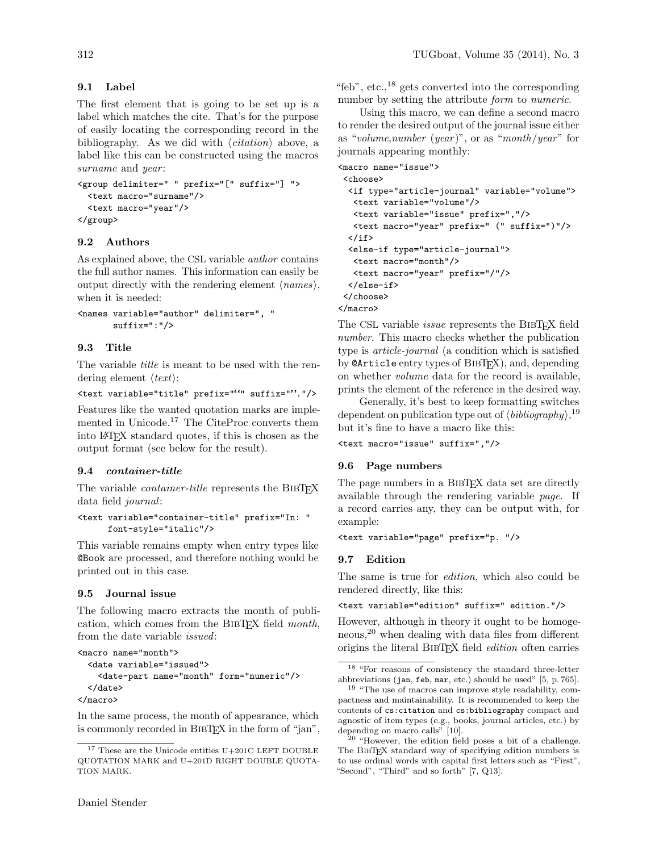# 9.1 Label

The first element that is going to be set up is a label which matches the cite. That's for the purpose of easily locating the corresponding record in the bibliography. As we did with  $\langle citation \rangle$  above, a label like this can be constructed using the macros surname and year:

```
<group delimiter=" " prefix="[" suffix="] ">
  <text macro="surname"/>
  <text macro="year"/>
</group>
```
# 9.2 Authors

As explained above, the CSL variable author contains the full author names. This information can easily be output directly with the rendering element  $\langle names \rangle$ , when it is needed:

```
<names variable="author" delimiter=", "
       suffix=":"/>
```
## 9.3 Title

The variable *title* is meant to be used with the rendering element  $\langle text \rangle$ :

```
<text variable="title" prefix=""" suffix=""."/>
```
Features like the wanted quotation marks are imple-mented in Unicode.<sup>[17](#page-3-0)</sup> The CiteProc converts them into LATEX standard quotes, if this is chosen as the output format (see below for the result).

## 9.4 container-title

The variable *container-title* represents the BIBT<sub>EX</sub> data field journal:

```
<text variable="container-title" prefix="In: "
      font-style="italic"/>
```
This variable remains empty when entry types like @Book are processed, and therefore nothing would be printed out in this case.

## 9.5 Journal issue

The following macro extracts the month of publication, which comes from the BibTEX field month, from the date variable issued:

```
<macro name="month">
  <date variable="issued">
    <date-part name="month" form="numeric"/>
  </date>
</macro>
```
In the same process, the month of appearance, which is commonly recorded in BIBT<sub>EX</sub> in the form of "jan", "feb", etc., $^{18}$  $^{18}$  $^{18}$  gets converted into the corresponding number by setting the attribute *form* to *numeric*.

Using this macro, we can define a second macro to render the desired output of the journal issue either as "volume, number (year)", or as "month/year" for journals appearing monthly:

```
<macro name="issue">
<choose>
 <if type="article-journal" variable="volume">
  <text variable="volume"/>
  <text variable="issue" prefix=","/>
  <text macro="year" prefix=" (" suffix=")"/>
  </if>
  <else-if type="article-journal">
  <text macro="month"/>
  <text macro="year" prefix="/"/>
  </else-if>
</choose>
</macro>
```
The CSL variable *issue* represents the BIBTEX field number. This macro checks whether the publication type is article-journal (a condition which is satisfied by **@Article** entry types of BIBT<sub>F</sub>X), and, depending on whether volume data for the record is available, prints the element of the reference in the desired way.

Generally, it's best to keep formatting switches dependent on publication type out of  $\langle bibliography \rangle,$ <sup>[19](#page-3-2)</sup> but it's fine to have a macro like this:

<text macro="issue" suffix=","/>

## 9.6 Page numbers

The page numbers in a BIBT<sub>EX</sub> data set are directly available through the rendering variable page. If a record carries any, they can be output with, for example:

```
<text variable="page" prefix="p. "/>
```
## 9.7 Edition

The same is true for edition, which also could be rendered directly, like this:

<text variable="edition" suffix=" edition."/>

However, although in theory it ought to be homoge-neous,<sup>[20](#page-3-3)</sup> when dealing with data files from different origins the literal BIBTEX field *edition* often carries

<span id="page-3-0"></span> $^{17}$  These are the Unicode entities U+201C LEFT DOUBLE QUOTATION MARK and U+201D RIGHT DOUBLE QUOTA-TION MARK.

<span id="page-3-1"></span><sup>18</sup> "For reasons of consistency the standard three-letter abbreviations (jan, feb, mar, etc.) should be used" [\[5,](#page-5-7) p. 765].

<span id="page-3-2"></span><sup>&</sup>lt;sup>19</sup> "The use of macros can improve style readability, compactness and maintainability. It is recommended to keep the contents of cs:citation and cs:bibliography compact and agnostic of item types (e.g., books, journal articles, etc.) by depending on macro calls" [\[10\]](#page-5-4).

<span id="page-3-3"></span><sup>20</sup> "However, the edition field poses a bit of a challenge. The BIBTEX standard way of specifying edition numbers is to use ordinal words with capital first letters such as "First", "Second", "Third" and so forth" [\[7,](#page-5-8) Q13].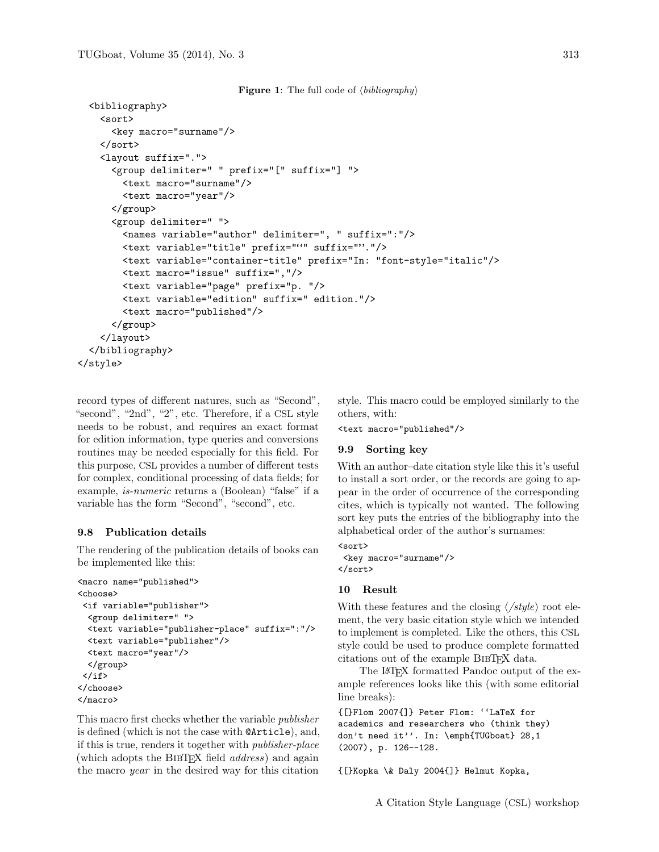```
Figure 1: The full code of \langle bibliography \rangle
```

```
<bibliography>
   <sort>
      <key macro="surname"/>
   </sort>
   <layout suffix=".">
      <group delimiter=" " prefix="[" suffix="] ">
        <text macro="surname"/>
        <text macro="year"/>
      </group>
      <group delimiter=" ">
        <names variable="author" delimiter=", " suffix=":"/>
        <text variable="title" prefix=""" suffix=""."/>
        <text variable="container-title" prefix="In: "font-style="italic"/>
        <text macro="issue" suffix=","/>
        <text variable="page" prefix="p. "/>
        <text variable="edition" suffix=" edition."/>
        <text macro="published"/>
      </group>
    </layout>
 </bibliography>
</style>
```
record types of different natures, such as "Second", "second", "2nd", "2", etc. Therefore, if a CSL style needs to be robust, and requires an exact format for edition information, type queries and conversions routines may be needed especially for this field. For this purpose, CSL provides a number of different tests for complex, conditional processing of data fields; for example, is-numeric returns a (Boolean) "false" if a variable has the form "Second", "second", etc.

#### 9.8 Publication details

The rendering of the publication details of books can be implemented like this:

```
<macro name="published">
<choose>
<if variable="publisher">
  <group delimiter=" ">
 <text variable="publisher-place" suffix=":"/>
 <text variable="publisher"/>
 <text macro="year"/>
 </group>
\langle/if>
</choose>
</macro>
```
This macro first checks whether the variable publisher is defined (which is not the case with @Article), and, if this is true, renders it together with publisher-place (which adopts the BIBTEX field *address*) and again the macro year in the desired way for this citation

style. This macro could be employed similarly to the others, with:

```
<text macro="published"/>
```
## 9.9 Sorting key

With an author–date citation style like this it's useful to install a sort order, or the records are going to appear in the order of occurrence of the corresponding cites, which is typically not wanted. The following sort key puts the entries of the bibliography into the alphabetical order of the author's surnames:

<sort> <key macro="surname"/> </sort>

#### 10 Result

With these features and the closing  $\langle \textit{style} \rangle$  root element, the very basic citation style which we intended to implement is completed. Like the others, this CSL style could be used to produce complete formatted citations out of the example BibTEX data.

The LAT<sub>EX</sub> formatted Pandoc output of the example references looks like this (with some editorial line breaks):

```
{[}Flom 2007{]} Peter Flom: ''LaTeX for
academics and researchers who (think they)
don't need it''. In: \emph{TUGboat} 28,1
(2007), p. 126--128.
```
{[}Kopka \& Daly 2004{]} Helmut Kopka,